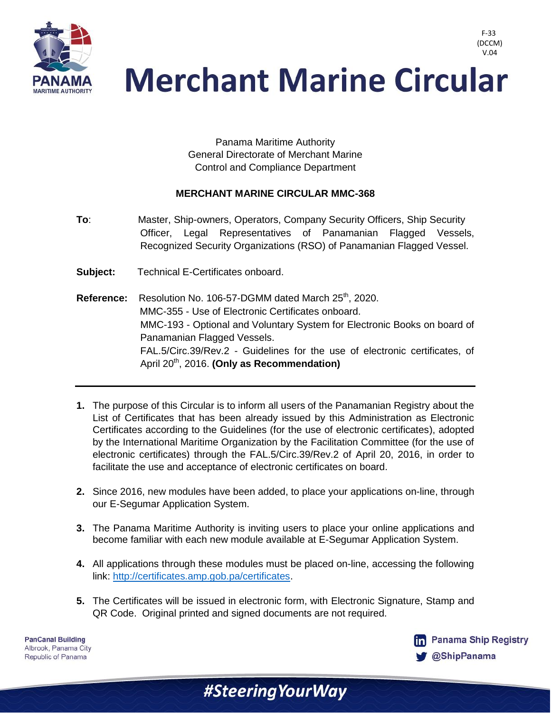

Panama Maritime Authority General Directorate of Merchant Marine Control and Compliance Department

## **MERCHANT MARINE CIRCULAR MMC-368**

- **To**: Master, Ship-owners, Operators, Company Security Officers, Ship Security Officer, Legal Representatives of Panamanian Flagged Vessels, Recognized Security Organizations (RSO) of Panamanian Flagged Vessel.
- **Subject:** Technical E-Certificates onboard.
- Reference: Resolution No. 106-57-DGMM dated March 25<sup>th</sup>, 2020. MMC-355 - Use of Electronic Certificates onboard. MMC-193 - Optional and Voluntary System for Electronic Books on board of Panamanian Flagged Vessels. FAL.5/Circ.39/Rev.2 - Guidelines for the use of electronic certificates, of April 20<sup>th</sup>, 2016. **(Only as Recommendation)**
- **1.** The purpose of this Circular is to inform all users of the Panamanian Registry about the List of Certificates that has been already issued by this Administration as Electronic Certificates according to the Guidelines (for the use of electronic certificates), adopted by the International Maritime Organization by the Facilitation Committee (for the use of electronic certificates) through the FAL.5/Circ.39/Rev.2 of April 20, 2016, in order to facilitate the use and acceptance of electronic certificates on board.
- **2.** Since 2016, new modules have been added, to place your applications on-line, through our E-Segumar Application System.
- **3.** The Panama Maritime Authority is inviting users to place your online applications and become familiar with each new module available at E-Segumar Application System.
- **4.** All applications through these modules must be placed on-line, accessing the following link: [http://certificates.amp.gob.pa/certificates.](http://certificates.amp.gob.pa/certificates)
- **5.** The Certificates will be issued in electronic form, with Electronic Signature, Stamp and QR Code. Original printed and signed documents are not required.

**PanCanal Building** Albrook, Panama City Republic of Panama



F-33 (DCCM) V.04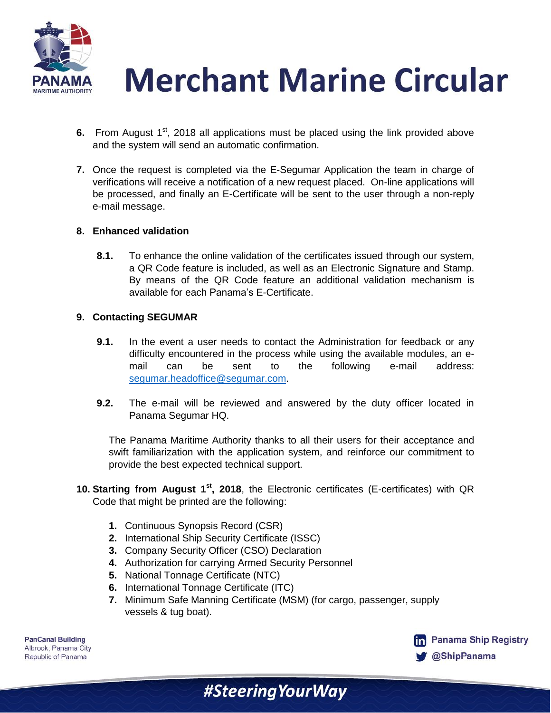

- **6.** From August 1<sup>st</sup>, 2018 all applications must be placed using the link provided above and the system will send an automatic confirmation.
- **7.** Once the request is completed via the E-Segumar Application the team in charge of verifications will receive a notification of a new request placed. On-line applications will be processed, and finally an E-Certificate will be sent to the user through a non-reply e-mail message.

## **8. Enhanced validation**

**8.1.** To enhance the online validation of the certificates issued through our system, a QR Code feature is included, as well as an Electronic Signature and Stamp. By means of the QR Code feature an additional validation mechanism is available for each Panama's E-Certificate.

## **9. Contacting SEGUMAR**

- **9.1.** In the event a user needs to contact the Administration for feedback or any difficulty encountered in the process while using the available modules, an email can be sent to the following e-mail address: [segumar.headoffice@segumar.com.](mailto:rberrocal@segumar.com)
- **9.2.** The e-mail will be reviewed and answered by the duty officer located in Panama Segumar HQ.

The Panama Maritime Authority thanks to all their users for their acceptance and swift familiarization with the application system, and reinforce our commitment to provide the best expected technical support.

- **10. Starting from August 1st, 2018**, the Electronic certificates (E-certificates) with QR Code that might be printed are the following:
	- **1.** Continuous Synopsis Record (CSR)
	- **2.** International Ship Security Certificate (ISSC)
	- **3.** Company Security Officer (CSO) Declaration
	- **4.** Authorization for carrying Armed Security Personnel
	- **5.** National Tonnage Certificate (NTC)
	- **6.** International Tonnage Certificate (ITC)
	- **7.** Minimum Safe Manning Certificate (MSM) (for cargo, passenger, supply vessels & tug boat).

#SteeringYourWay

**PanCanal Building** Albrook, Panama City Republic of Panama

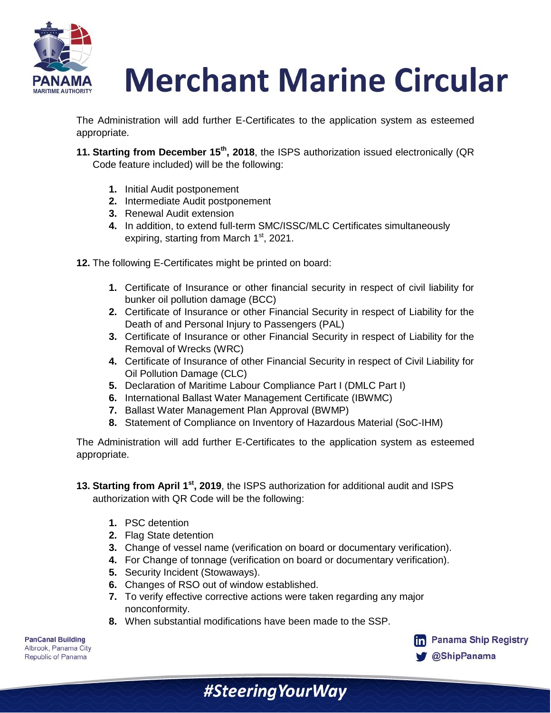

The Administration will add further E-Certificates to the application system as esteemed appropriate.

- **11. Starting from December 15th, 2018**, the ISPS authorization issued electronically (QR Code feature included) will be the following:
	- **1.** Initial Audit postponement
	- **2.** Intermediate Audit postponement
	- **3.** Renewal Audit extension
	- **4.** In addition, to extend full-term SMC/ISSC/MLC Certificates simultaneously expiring, starting from March 1<sup>st</sup>, 2021.
- **12.** The following E-Certificates might be printed on board:
	- **1.** Certificate of Insurance or other financial security in respect of civil liability for bunker oil pollution damage (BCC)
	- **2.** Certificate of Insurance or other Financial Security in respect of Liability for the Death of and Personal Injury to Passengers (PAL)
	- **3.** Certificate of Insurance or other Financial Security in respect of Liability for the Removal of Wrecks (WRC)
	- **4.** Certificate of Insurance of other Financial Security in respect of Civil Liability for Oil Pollution Damage (CLC)
	- **5.** Declaration of Maritime Labour Compliance Part I (DMLC Part I)
	- **6.** International Ballast Water Management Certificate (IBWMC)
	- **7.** Ballast Water Management Plan Approval (BWMP)
	- **8.** Statement of Compliance on Inventory of Hazardous Material (SoC-IHM)

The Administration will add further E-Certificates to the application system as esteemed appropriate.

**13. Starting from April 1st, 2019**, the ISPS authorization for additional audit and ISPS authorization with QR Code will be the following:

- **1.** PSC detention
- **2.** Flag State detention
- **3.** Change of vessel name (verification on board or documentary verification).
- **4.** For Change of tonnage (verification on board or documentary verification).
- **5.** Security Incident (Stowaways).
- **6.** Changes of RSO out of window established.
- **7.** To verify effective corrective actions were taken regarding any major nonconformity.

#Steering Your Way

**8.** When substantial modifications have been made to the SSP.

**PanCanal Building** Albrook, Panama City Republic of Panama

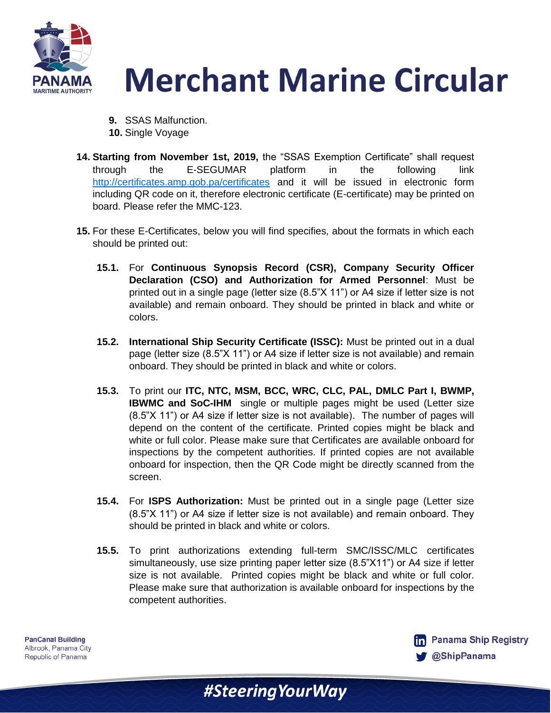

- **9.** SSAS Malfunction. **10.** Single Voyage
- **14. Starting from November 1st, 2019,** the "SSAS Exemption Certificate" shall request through the E-SEGUMAR platform in the following link <http://certificates.amp.gob.pa/certificates> and it will be issued in electronic form including QR code on it, therefore electronic certificate (E-certificate) may be printed on board. Please refer the MMC-123.
- **15.** For these E-Certificates, below you will find specifies, about the formats in which each should be printed out:
	- **15.1.** For **Continuous Synopsis Record (CSR), Company Security Officer Declaration (CSO) and Authorization for Armed Personnel**: Must be printed out in a single page (letter size (8.5"X 11") or A4 size if letter size is not available) and remain onboard. They should be printed in black and white or colors.
	- **15.2. International Ship Security Certificate (ISSC):** Must be printed out in a dual page (letter size (8.5"X 11") or A4 size if letter size is not available) and remain onboard. They should be printed in black and white or colors.
	- **15.3.** To print our **ITC, NTC, MSM, BCC, WRC, CLC, PAL, DMLC Part I, BWMP, IBWMC and SoC-IHM** single or multiple pages might be used (Letter size (8.5"X 11") or A4 size if letter size is not available). The number of pages will depend on the content of the certificate. Printed copies might be black and white or full color. Please make sure that Certificates are available onboard for inspections by the competent authorities. If printed copies are not available onboard for inspection, then the QR Code might be directly scanned from the screen.
	- **15.4.** For **ISPS Authorization:** Must be printed out in a single page (Letter size (8.5"X 11") or A4 size if letter size is not available) and remain onboard. They should be printed in black and white or colors.
	- **15.5.** To print authorizations extending full-term SMC/ISSC/MLC certificates simultaneously, use size printing paper letter size (8.5"X11") or A4 size if letter size is not available. Printed copies might be black and white or full color. Please make sure that authorization is available onboard for inspections by the competent authorities.

#SteeringYourWay

**PanCanal Building** Albrook, Panama City Republic of Panama

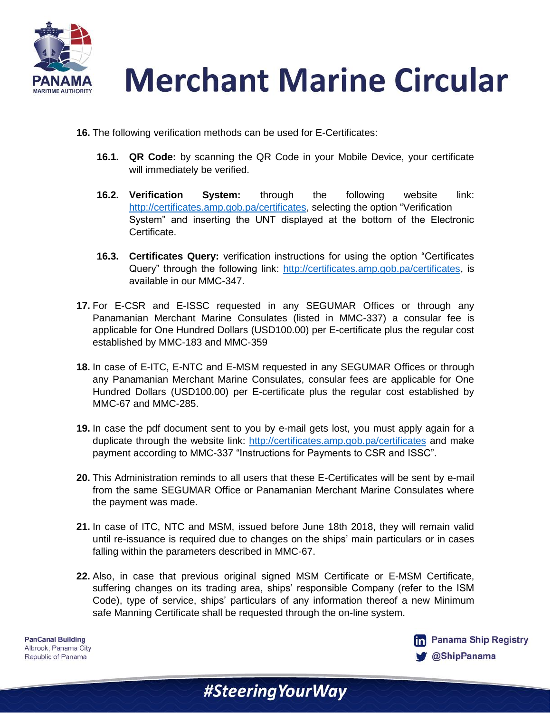

- **16.** The following verification methods can be used for E-Certificates:
	- **16.1. QR Code:** by scanning the QR Code in your Mobile Device, your certificate will immediately be verified.
	- **16.2. Verification System:** through the following website link: [http://certificates.amp.gob.pa/certificates,](http://certificates.amp.gob.pa/certificates) selecting the option "Verification System" and inserting the UNT displayed at the bottom of the Electronic Certificate.
	- **16.3. Certificates Query:** verification instructions for using the option "Certificates Query" through the following link: [http://certificates.amp.gob.pa/certificates,](http://certificates.amp.gob.pa/certificates) is available in our MMC-347.
- **17.** For E-CSR and E-ISSC requested in any SEGUMAR Offices or through any Panamanian Merchant Marine Consulates (listed in MMC-337) a consular fee is applicable for One Hundred Dollars (USD100.00) per E-certificate plus the regular cost established by MMC-183 and MMC-359
- **18.** In case of E-ITC, E-NTC and E-MSM requested in any SEGUMAR Offices or through any Panamanian Merchant Marine Consulates, consular fees are applicable for One Hundred Dollars (USD100.00) per E-certificate plus the regular cost established by MMC-67 and MMC-285.
- **19.** In case the pdf document sent to you by e-mail gets lost, you must apply again for a duplicate through the website link:<http://certificates.amp.gob.pa/certificates> and make payment according to MMC-337 "Instructions for Payments to CSR and ISSC".
- **20.** This Administration reminds to all users that these E-Certificates will be sent by e-mail from the same SEGUMAR Office or Panamanian Merchant Marine Consulates where the payment was made.
- **21.** In case of ITC, NTC and MSM, issued before June 18th 2018, they will remain valid until re-issuance is required due to changes on the ships' main particulars or in cases falling within the parameters described in MMC-67.
- **22.** Also, in case that previous original signed MSM Certificate or E-MSM Certificate, suffering changes on its trading area, ships' responsible Company (refer to the ISM Code), type of service, ships' particulars of any information thereof a new Minimum safe Manning Certificate shall be requested through the on-line system.

**PanCanal Building** Albrook, Panama City Republic of Panama

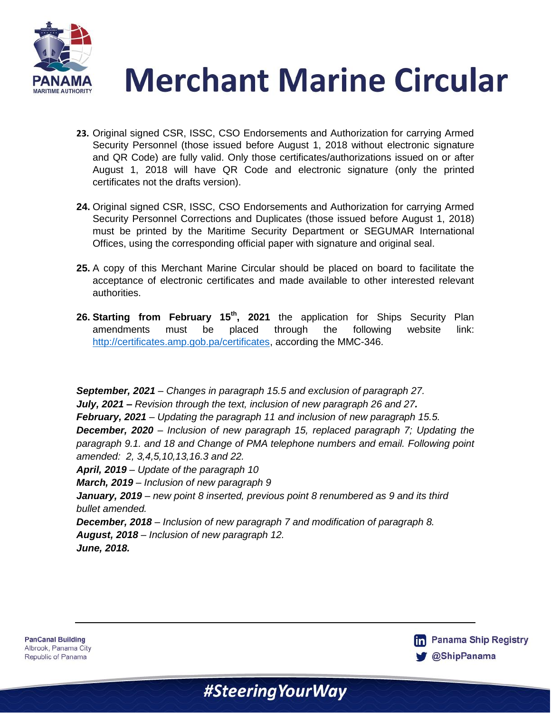



- **23.** Original signed CSR, ISSC, CSO Endorsements and Authorization for carrying Armed Security Personnel (those issued before August 1, 2018 without electronic signature and QR Code) are fully valid. Only those certificates/authorizations issued on or after August 1, 2018 will have QR Code and electronic signature (only the printed certificates not the drafts version).
- **24.** Original signed CSR, ISSC, CSO Endorsements and Authorization for carrying Armed Security Personnel Corrections and Duplicates (those issued before August 1, 2018) must be printed by the Maritime Security Department or SEGUMAR International Offices, using the corresponding official paper with signature and original seal.
- **25.** A copy of this Merchant Marine Circular should be placed on board to facilitate the acceptance of electronic certificates and made available to other interested relevant authorities.
- **26. Starting from February 15th, 2021** the application for Ships Security Plan amendments must be placed through the following website link: [http://certificates.amp.gob.pa/certificates,](http://certificates.amp.gob.pa/certificates) according the MMC-346.

*September, 2021 – Changes in paragraph 15.5 and exclusion of paragraph 27. July, 2021 – Revision through the text, inclusion of new paragraph 26 and 27. February, 2021* – *Updating the paragraph 11 and inclusion of new paragraph 15.5. December, 2020* – *Inclusion of new paragraph 15, replaced paragraph 7; Updating the paragraph 9.1. and 18 and Change of PMA telephone numbers and email. Following point amended: 2, 3,4,5,10,13,16.3 and 22. April, 2019* – *Update of the paragraph 10 March, 2019* – *Inclusion of new paragraph 9 January, 2019* – *new point 8 inserted, previous point 8 renumbered as 9 and its third bullet amended. December, 2018* – *Inclusion of new paragraph 7 and modification of paragraph 8. August, 2018* – *Inclusion of new paragraph 12. June, 2018.*